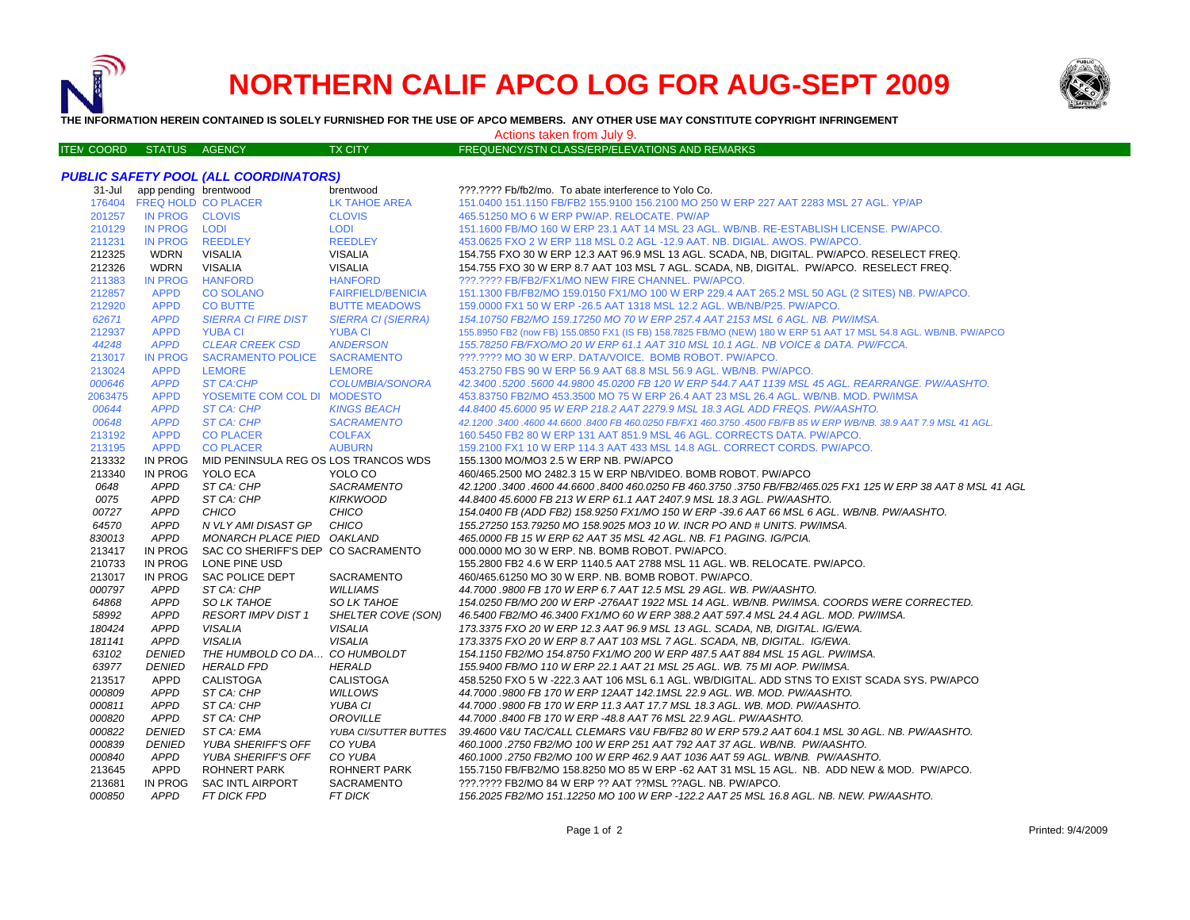

# **NORTHERN CALIF APCO LOG FOR AUG-SEPT 2009**



**THE INFORMATION HEREIN CONTAINED IS SOLELY FURNISHED FOR THE USE OF APCO MEMBERS. ANY OTHER USE MAY CONSTITUTE COPYRIGHT INFRINGEMENT**

Actions taken from July 9.

| <b>ITEN COORD</b> | <b>STATUS</b> | AGENCY | <b>TX CITY</b> | FREQUENCY/STN CLASS/ERP/ELEVATIONS AND REMARKS |
|-------------------|---------------|--------|----------------|------------------------------------------------|

# *PUBLIC SAFETY POOL (ALL COORDINATORS)*

| 31-Jul  | app pending brentwood      |                                      | brentwood                 | ???.???? Fb/fb2/mo. To abate interference to Yolo Co.                                                              |
|---------|----------------------------|--------------------------------------|---------------------------|--------------------------------------------------------------------------------------------------------------------|
|         | 176404 FREQ HOLD CO PLACER |                                      | <b>LK TAHOE AREA</b>      | 151.0400 151.1150 FB/FB2 155.9100 156.2100 MO 250 W ERP 227 AAT 2283 MSL 27 AGL. YP/AP                             |
| 201257  | IN PROG CLOVIS             |                                      | <b>CLOVIS</b>             | 465.51250 MO 6 W ERP PW/AP. RELOCATE. PW/AP                                                                        |
| 210129  | IN PROG LODI               |                                      | <b>LODI</b>               | 151.1600 FB/MO 160 W ERP 23.1 AAT 14 MSL 23 AGL, WB/NB, RE-ESTABLISH LICENSE, PW/APCO,                             |
| 211231  | <b>IN PROG</b>             | <b>REEDLEY</b>                       | <b>REEDLEY</b>            | 453.0625 FXO 2 W ERP 118 MSL 0.2 AGL -12.9 AAT. NB. DIGIAL. AWOS. PW/APCO.                                         |
| 212325  | <b>WDRN</b>                | <b>VISALIA</b>                       | <b>VISALIA</b>            | 154.755 FXO 30 W ERP 12.3 AAT 96.9 MSL 13 AGL. SCADA, NB, DIGITAL. PW/APCO. RESELECT FREQ.                         |
| 212326  | <b>WDRN</b>                | <b>VISALIA</b>                       | <b>VISALIA</b>            | 154.755 FXO 30 W ERP 8.7 AAT 103 MSL 7 AGL. SCADA, NB, DIGITAL, PW/APCO, RESELECT FREQ.                            |
| 211383  | <b>IN PROG</b>             | <b>HANFORD</b>                       | <b>HANFORD</b>            | ???.???? FB/FB2/FX1/MO NEW FIRE CHANNEL. PW/APCO.                                                                  |
| 212857  | <b>APPD</b>                | <b>CO SOLANO</b>                     | <b>FAIRFIELD/BENICIA</b>  | 151.1300 FB/FB2/MO 159.0150 FX1/MO 100 W ERP 229.4 AAT 265.2 MSL 50 AGL (2 SITES) NB. PW/APCO.                     |
| 212920  | <b>APPD</b>                | <b>CO BUTTE</b>                      | <b>BUTTE MEADOWS</b>      | 159.0000 FX1 50 W ERP - 26.5 AAT 1318 MSL 12.2 AGL. WB/NB/P25. PW/APCO.                                            |
| 62671   | <b>APPD</b>                | <b>SIERRA CI FIRE DIST</b>           | <b>SIERRA CI (SIERRA)</b> | 154.10750 FB2/MO 159.17250 MO 70 W ERP 257.4 AAT 2153 MSL 6 AGL. NB. PW/IMSA.                                      |
| 212937  | <b>APPD</b>                | <b>YUBA CI</b>                       | <b>YUBA CI</b>            | 155.8950 FB2 (now FB) 155.0850 FX1 (IS FB) 158.7825 FB/MO (NEW) 180 W ERP 51 AAT 17 MSL 54.8 AGL. WB/NB. PW/APCO   |
| 44248   | <b>APPD</b>                | <b>CLEAR CREEK CSD</b>               | <b>ANDERSON</b>           | 155.78250 FB/FXO/MO 20 W ERP 61.1 AAT 310 MSL 10.1 AGL. NB VOICE & DATA. PW/FCCA.                                  |
| 213017  | <b>IN PROG</b>             | SACRAMENTO POLICE SACRAMENTO         |                           | ???.???? MO 30 W ERP. DATA/VOICE. BOMB ROBOT. PW/APCO.                                                             |
| 213024  | <b>APPD</b>                | <b>LEMORE</b>                        | <b>LEMORE</b>             | 453,2750 FBS 90 W ERP 56.9 AAT 68.8 MSL 56.9 AGL, WB/NB, PW/APCO.                                                  |
| 000646  | <b>APPD</b>                | <b>ST CA:CHP</b>                     | COLUMBIA/SONORA           | 42.3400.5200.5600 44.9800 45.0200 FB 120 W ERP 544.7 AAT 1139 MSL 45 AGL. REARRANGE. PW/AASHTO.                    |
| 2063475 | <b>APPD</b>                | YOSEMITE COM COL DI MODESTO          |                           | 453.83750 FB2/MO 453.3500 MO 75 W ERP 26.4 AAT 23 MSL 26.4 AGL, WB/NB, MOD, PW/IMSA                                |
| 00644   | <b>APPD</b>                | ST CA: CHP                           | <b>KINGS BEACH</b>        | 44.8400 45.6000 95 W ERP 218.2 AAT 2279.9 MSL 18.3 AGL ADD FREQS. PW/AASHTO.                                       |
| 00648   | <b>APPD</b>                | ST CA: CHP                           | <b>SACRAMENTO</b>         | 42.1200 .3400 .4600 44.6600 .8400 FB 460.0250 FB/FX1 460.3750 .4500 FB/FB 85 W ERP WB/NB. 38.9 AAT 7.9 MSL 41 AGL. |
| 213192  | <b>APPD</b>                | <b>CO PLACER</b>                     | <b>COLFAX</b>             | 160.5450 FB2 80 W ERP 131 AAT 851.9 MSL 46 AGL. CORRECTS DATA. PW/APCO.                                            |
| 213195  | <b>APPD</b>                | <b>CO PLACER</b>                     | <b>AUBURN</b>             | 159.2100 FX1 10 W ERP 114.3 AAT 433 MSL 14.8 AGL. CORRECT CORDS. PW/APCO.                                          |
| 213332  | <b>IN PROG</b>             | MID PENINSULA REG OS LOS TRANCOS WDS |                           | 155.1300 MO/MO3 2.5 W ERP NB. PW/APCO                                                                              |
| 213340  | <b>IN PROG</b>             | YOLO ECA                             | YOLO CO                   | 460/465.2500 MO 2482.3 15 W ERP NB/VIDEO, BOMB ROBOT, PW/APCO                                                      |
| 0648    | <b>APPD</b>                | ST CA: CHP                           | <b>SACRAMENTO</b>         | 42.1200.3400.4600 44.6600.8400 460.0250 FB 460.3750 .3750 FB/FB2/465.025 FX1 125 W ERP 38 AAT 8 MSL 41 AGL         |
| 0075    | <b>APPD</b>                | ST CA: CHP                           | <b>KIRKWOOD</b>           | 44.8400 45.6000 FB 213 W ERP 61.1 AAT 2407.9 MSL 18.3 AGL. PW/AASHTO.                                              |
| 00727   | <b>APPD</b>                | <b>CHICO</b>                         | <b>CHICO</b>              | 154.0400 FB (ADD FB2) 158.9250 FX1/MO 150 W ERP -39.6 AAT 66 MSL 6 AGL. WB/NB. PW/AASHTO.                          |
| 64570   | <b>APPD</b>                | N VLY AMI DISAST GP                  | CHICO                     | 155.27250 153.79250 MO 158.9025 MO3 10 W. INCR PO AND # UNITS. PW/IMSA.                                            |
| 830013  | <b>APPD</b>                | MONARCH PLACE PIED OAKLAND           |                           | 465,0000 FB 15 W ERP 62 AAT 35 MSL 42 AGL, NB, F1 PAGING, IG/PCIA,                                                 |
| 213417  | <b>IN PROG</b>             | SAC CO SHERIFF'S DEP CO SACRAMENTO   |                           | 000.0000 MO 30 W ERP. NB. BOMB ROBOT. PW/APCO.                                                                     |
| 210733  | IN PROG                    | LONE PINE USD                        |                           | 155.2800 FB2 4.6 W ERP 1140.5 AAT 2788 MSL 11 AGL. WB. RELOCATE. PW/APCO.                                          |
| 213017  | IN PROG                    | SAC POLICE DEPT                      | <b>SACRAMENTO</b>         | 460/465.61250 MO 30 W ERP. NB. BOMB ROBOT. PW/APCO.                                                                |
| 000797  | <b>APPD</b>                | ST CA: CHP                           | <b>WILLIAMS</b>           | 44,7000.9800 FB 170 W ERP 6.7 AAT 12.5 MSL 29 AGL, WB, PW/AASHTO.                                                  |
| 64868   | <b>APPD</b>                | SO LK TAHOE                          | <b>SO LK TAHOE</b>        | 154.0250 FB/MO 200 W ERP -276AAT 1922 MSL 14 AGL. WB/NB. PW/IMSA. COORDS WERE CORRECTED.                           |
| 58992   | <b>APPD</b>                | <b>RESORT IMPV DIST 1</b>            | SHELTER COVE (SON)        | 46.5400 FB2/MO 46.3400 FX1/MO 60 W ERP 388.2 AAT 597.4 MSL 24.4 AGL, MOD, PW/IMSA,                                 |
| 180424  | <b>APPD</b>                | <b>VISALIA</b>                       | <b>VISALIA</b>            | 173.3375 FXO 20 W ERP 12.3 AAT 96.9 MSL 13 AGL. SCADA, NB, DIGITAL. IG/EWA.                                        |
| 181141  | <b>APPD</b>                | <b>VISALIA</b>                       | <b>VISALIA</b>            | 173.3375 FXO 20 W ERP 8.7 AAT 103 MSL 7 AGL. SCADA, NB, DIGITAL. IG/EWA.                                           |
| 63102   | <b>DENIED</b>              | THE HUMBOLD CO DA CO HUMBOLDT        |                           | 154.1150 FB2/MO 154.8750 FX1/MO 200 W ERP 487.5 AAT 884 MSL 15 AGL. PW/IMSA.                                       |
| 63977   | <b>DENIED</b>              | <b>HERALD FPD</b>                    | <b>HERALD</b>             | 155.9400 FB/MO 110 W ERP 22.1 AAT 21 MSL 25 AGL, WB, 75 MI AOP, PW/IMSA.                                           |
| 213517  | <b>APPD</b>                | <b>CALISTOGA</b>                     | <b>CALISTOGA</b>          | 458.5250 FXO 5 W -222.3 AAT 106 MSL 6.1 AGL. WB/DIGITAL. ADD STNS TO EXIST SCADA SYS. PW/APCO                      |
| 000809  | <b>APPD</b>                | ST CA: CHP                           | <b>WILLOWS</b>            | 44.7000 .9800 FB 170 W ERP 12AAT 142.1MSL 22.9 AGL. WB. MOD. PW/AASHTO.                                            |
| 000811  | <b>APPD</b>                | ST CA: CHP                           | YUBA CI                   | 44.7000 .9800 FB 170 W ERP 11.3 AAT 17.7 MSL 18.3 AGL. WB. MOD. PW/AASHTO.                                         |
| 000820  | APPD                       | ST CA: CHP                           | OROVILLE                  | 44.7000.8400 FB 170 W ERP -48.8 AAT 76 MSL 22.9 AGL. PW/AASHTO.                                                    |
| 000822  | <b>DENIED</b>              | ST CA: EMA                           | YUBA CI/SUTTER BUTTES     | 39.4600 V&U TAC/CALL CLEMARS V&U FB/FB2 80 W ERP 579.2 AAT 604.1 MSL 30 AGL. NB. PW/AASHTO.                        |
| 000839  | <b>DENIED</b>              | YUBA SHERIFF'S OFF                   | CO YUBA                   | 460.1000 .2750 FB2/MO 100 W ERP 251 AAT 792 AAT 37 AGL. WB/NB. PW/AASHTO.                                          |
| 000840  | <b>APPD</b>                | YUBA SHERIFF'S OFF                   | CO YUBA                   | 460.1000.2750 FB2/MO 100 W ERP 462.9 AAT 1036 AAT 59 AGL. WB/NB. PW/AASHTO.                                        |
| 213645  | APPD                       | <b>ROHNERT PARK</b>                  | ROHNERT PARK              | 155.7150 FB/FB2/MO 158.8250 MO 85 W ERP -62 AAT 31 MSL 15 AGL. NB. ADD NEW & MOD. PW/APCO.                         |
| 213681  | <b>IN PROG</b>             | SAC INTL AIRPORT                     | SACRAMENTO                | ???.???? FB2/MO 84 W ERP ?? AAT ??MSL ??AGL. NB. PW/APCO.                                                          |
| 000850  | <b>APPD</b>                | FT DICK FPD                          | <b>FT DICK</b>            | 156.2025 FB2/MO 151.12250 MO 100 W ERP -122.2 AAT 25 MSL 16.8 AGL. NB. NEW. PW/AASHTO.                             |